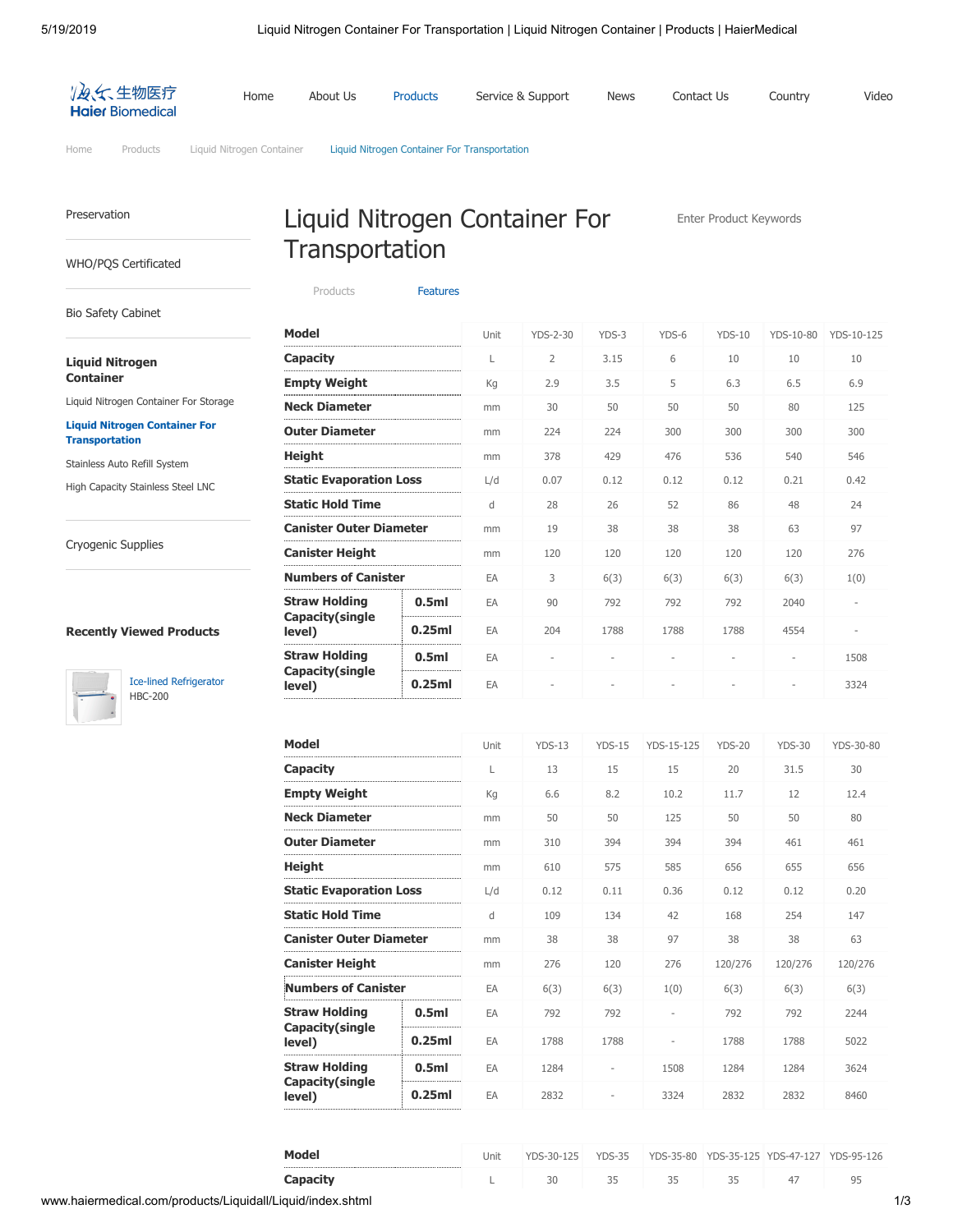

[Home](http://www.haiermedical.com/) [Products](http://www.haiermedical.com/products/) [Liquid Nitrogen Container](http://www.haiermedical.com/products/Liquidall/) Liquid Nitrogen Container For Transportation

Liquid Nitrogen Container For

**Transportation** 

#### [Preservation](http://www.haiermedical.com/products/preservation/)

[WHO/PQS Certificated](http://www.haiermedical.com/products/who_pqs_certificated_equipment/)

#### [Bio Safety Cabinet](http://www.haiermedical.com/products/bio_safety_cabinet/)

#### **[Liquid Nitrogen](http://www.haiermedical.com/products/Liquidall/) Container**

[Liquid Nitrogen Container For Storage](http://www.haiermedical.com/products/Liquidall/Liquid2/)

#### **[Liquid Nitrogen Container For](http://www.haiermedical.com/products/Liquidall/Liquid/) Transportation**

[Stainless Auto Refill System](http://www.haiermedical.com/products/Liquidall/Sta_system/)

[High Capacity Stainless Steel LNC](http://www.haiermedical.com/products/Liquidall/High_cs/)

[Cryogenic Supplies](http://www.haiermedical.com/products/Consumables/)

### **Recently Viewed Products**



[Ice-lined Refrigerator](http://www.haiermedical.com/products/who_pqs_certificated_equipment/Ice_lined_refrigerator/hbc-200.html) HBC-200

| Model                      |                                                                                                                            | Unit | <b>YDS-2-30</b>          | YDS-3                    | YDS-6  | $YDS-10$                 | YDS-10-80                        | YDS-10-125               |
|----------------------------|----------------------------------------------------------------------------------------------------------------------------|------|--------------------------|--------------------------|--------|--------------------------|----------------------------------|--------------------------|
| Capacity                   |                                                                                                                            | L    | $\overline{2}$           | 3.15                     | 6      | 10                       | 10                               | 10                       |
| <b>Empty Weight</b>        |                                                                                                                            | Kg   | 2.9                      | 3.5                      | 5      | 6.3                      | 6.5                              | 6.9                      |
| <b>Neck Diameter</b>       |                                                                                                                            | mm   | 30                       | 50                       | 50     | 50                       | 80                               | 125                      |
| <b>Outer Diameter</b>      |                                                                                                                            | mm   | 224                      | 224                      | 300    | 300                      | 300                              | 300                      |
| <b>Height</b>              |                                                                                                                            | mm   | 378                      | 429                      | 476    | 536                      | 540                              | 546                      |
|                            |                                                                                                                            | L/d  | 0.07                     | 0.12                     | 0.12   | 0.12                     | 0.21                             |                          |
| <b>Static Hold Time</b>    |                                                                                                                            | d    | 28                       | 26                       | 52     | 86                       | 48                               | 24                       |
|                            |                                                                                                                            | mm   | 19                       | 38                       | 38     | 38                       | 63                               | 97                       |
| <b>Canister Height</b>     |                                                                                                                            | mm   | 120                      | 120                      | 120    | 120                      | 120                              | 276                      |
| <b>Numbers of Canister</b> |                                                                                                                            | EA   | 3                        | 6(3)                     | 6(3)   | 6(3)                     | 6(3)                             | 1(0)                     |
| <b>Straw Holding</b>       | 0.5 <sub>m</sub>                                                                                                           | EA   | 90                       | 792                      | 792    | 792                      | 2040                             | $\overline{\phantom{a}}$ |
| level)                     | 0.25ml                                                                                                                     | EA   | 204                      | 1788                     | 1788   | 1788                     | 4554<br>$\overline{\phantom{a}}$ |                          |
| <b>Straw Holding</b>       | 0.5 <sub>m</sub>                                                                                                           | EA   | $\overline{\phantom{a}}$ | $\overline{\phantom{a}}$ | $\sim$ | $\overline{\phantom{a}}$ |                                  | 1508                     |
| level)                     | <b>Static Evaporation Loss</b><br><b>Canister Outer Diameter</b><br><br>Capacity(single<br>Capacity(single<br>0.25ml<br>EA | 3324 |                          |                          |        |                          |                                  |                          |

Enter Product Keywords

| 13<br>15<br>15<br>20<br>31.5<br>30<br>L<br><b>Empty Weight</b><br>8.2<br>6.6<br>10.2<br>11.7<br>Kg<br>12<br>12.4<br><b>Neck Diameter</b><br>50<br>50<br>125<br>50<br>50<br>80<br>mm<br>394<br>394<br>394<br>461<br>461<br>310<br>mm<br>Height<br>575<br>585<br>656<br>655<br>656<br>610<br>mm<br>L/d<br>0.36<br>0.12<br>0.20<br>0.12<br>0.11<br>0.12<br><b>Static Hold Time</b><br>109<br>134<br>168<br>147<br>d<br>42<br>254<br><b>Canister Outer Diameter</b><br>38<br>97<br>38<br>38<br>38<br>63<br>mm<br><b>Canister Height</b><br>276<br>120<br>276<br>120/276<br>120/276<br>120/276<br>mm<br><b>Numbers of Canister</b><br>6(3)<br>EA<br>6(3)<br>1(0)<br>6(3)<br>6(3)<br>6(3)<br>0.5 <sub>ml</sub><br>EA<br>792<br>792<br>792<br>792<br>2244<br>Capacity(single<br>0.25ml<br>EA<br>1788<br>1788<br>1788<br>1788<br>5022<br>0.5 <sub>m</sub><br>EA<br>3624<br>1284<br>1508<br>1284<br>1284<br>Capacity (single<br>0.25ml<br>2832<br>EA<br>3324<br>2832<br>2832<br>8460<br>level) | <b>Model</b>                   |  | Unit | $YDS-13$ | $YDS-15$ | YDS-15-125 | $YDS-20$ | $YDS-30$ | YDS-30-80 |
|---------------------------------------------------------------------------------------------------------------------------------------------------------------------------------------------------------------------------------------------------------------------------------------------------------------------------------------------------------------------------------------------------------------------------------------------------------------------------------------------------------------------------------------------------------------------------------------------------------------------------------------------------------------------------------------------------------------------------------------------------------------------------------------------------------------------------------------------------------------------------------------------------------------------------------------------------------------------------------------|--------------------------------|--|------|----------|----------|------------|----------|----------|-----------|
|                                                                                                                                                                                                                                                                                                                                                                                                                                                                                                                                                                                                                                                                                                                                                                                                                                                                                                                                                                                       | Capacity                       |  |      |          |          |            |          |          |           |
|                                                                                                                                                                                                                                                                                                                                                                                                                                                                                                                                                                                                                                                                                                                                                                                                                                                                                                                                                                                       |                                |  |      |          |          |            |          |          |           |
|                                                                                                                                                                                                                                                                                                                                                                                                                                                                                                                                                                                                                                                                                                                                                                                                                                                                                                                                                                                       |                                |  |      |          |          |            |          |          |           |
|                                                                                                                                                                                                                                                                                                                                                                                                                                                                                                                                                                                                                                                                                                                                                                                                                                                                                                                                                                                       | <b>Outer Diameter</b>          |  |      |          |          |            |          |          |           |
|                                                                                                                                                                                                                                                                                                                                                                                                                                                                                                                                                                                                                                                                                                                                                                                                                                                                                                                                                                                       |                                |  |      |          |          |            |          |          |           |
|                                                                                                                                                                                                                                                                                                                                                                                                                                                                                                                                                                                                                                                                                                                                                                                                                                                                                                                                                                                       | <b>Static Evaporation Loss</b> |  |      |          |          |            |          |          |           |
|                                                                                                                                                                                                                                                                                                                                                                                                                                                                                                                                                                                                                                                                                                                                                                                                                                                                                                                                                                                       |                                |  |      |          |          |            |          |          |           |
|                                                                                                                                                                                                                                                                                                                                                                                                                                                                                                                                                                                                                                                                                                                                                                                                                                                                                                                                                                                       |                                |  |      |          |          |            |          |          |           |
|                                                                                                                                                                                                                                                                                                                                                                                                                                                                                                                                                                                                                                                                                                                                                                                                                                                                                                                                                                                       |                                |  |      |          |          |            |          |          |           |
|                                                                                                                                                                                                                                                                                                                                                                                                                                                                                                                                                                                                                                                                                                                                                                                                                                                                                                                                                                                       |                                |  |      |          |          |            |          |          |           |
|                                                                                                                                                                                                                                                                                                                                                                                                                                                                                                                                                                                                                                                                                                                                                                                                                                                                                                                                                                                       | <b>Straw Holding</b>           |  |      |          |          |            |          |          |           |
|                                                                                                                                                                                                                                                                                                                                                                                                                                                                                                                                                                                                                                                                                                                                                                                                                                                                                                                                                                                       | level)                         |  |      |          |          |            |          |          |           |
|                                                                                                                                                                                                                                                                                                                                                                                                                                                                                                                                                                                                                                                                                                                                                                                                                                                                                                                                                                                       | <b>Straw Holding</b>           |  |      |          |          |            |          |          |           |
|                                                                                                                                                                                                                                                                                                                                                                                                                                                                                                                                                                                                                                                                                                                                                                                                                                                                                                                                                                                       |                                |  |      |          |          |            |          |          |           |

| <b>Model</b>    | Jnit | YDS-30-125 | YDS-35 | YDS-35-80 |  | YDS-35-125 YDS-47-127 YDS-95-126 |
|-----------------|------|------------|--------|-----------|--|----------------------------------|
| <b>Capacity</b> |      |            |        |           |  | ים                               |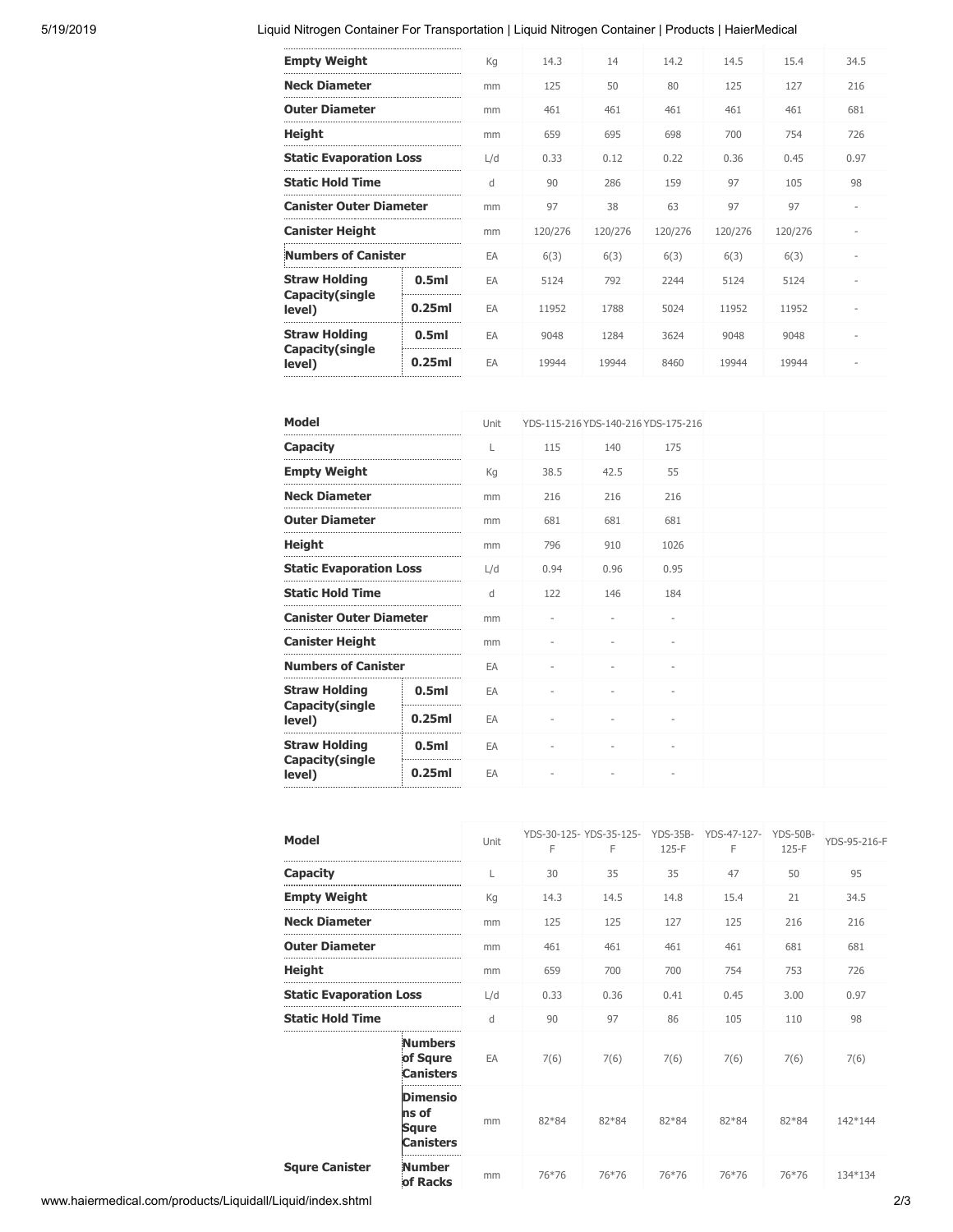# 5/19/2019 Liquid Nitrogen Container For Transportation | Liquid Nitrogen Container | Products | HaierMedical

| <b>Empty Weight</b>                     |                  | Kg  | 14.3    | 14      | 14.2    | 14.5    | 15.4    | 34.5 |
|-----------------------------------------|------------------|-----|---------|---------|---------|---------|---------|------|
| <b>Neck Diameter</b>                    |                  | mm  | 125     | 50      | 80      | 125     | 127     | 216  |
| <b>Outer Diameter</b>                   |                  | mm  | 461     | 461     | 461     | 461     | 461     | 681  |
| <b>Height</b>                           |                  | mm  | 659     | 695     | 698     | 700     | 754     | 726  |
| <b>Static Evaporation Loss</b>          |                  | L/d | 0.33    | 0.12    | 0.22    | 0.36    | 0.45    | 0.97 |
| <b>Static Hold Time</b>                 |                  | d   | 90      | 286     | 159     | 97      | 105     | 98   |
| <b>Canister Outer Diameter</b>          |                  | mm  | 97      | 38      | 63      | 97      | 97      |      |
| <b>Canister Height</b>                  |                  | mm  | 120/276 | 120/276 | 120/276 | 120/276 | 120/276 |      |
| <b>Numbers of Canister</b>              |                  | EA  | 6(3)    | 6(3)    | 6(3)    | 6(3)    | 6(3)    |      |
| <b>Straw Holding</b><br>Capacity(single | 0.5 <sub>m</sub> | EA  | 5124    | 792     | 2244    | 5124    | 5124    |      |
| level)                                  | 0.25ml           | EA  | 11952   | 1788    | 5024    | 11952   | 11952   |      |
| <b>Straw Holding</b>                    | 0.5 <sub>m</sub> | EA  | 9048    | 1284    | 3624    | 9048    | 9048    |      |
| Capacity(single<br>level)               | 0.25ml<br>       | EA  | 19944   | 19944   | 8460    | 19944   | 19944   |      |
|                                         |                  |     |         |         |         |         |         |      |

| <b>Model</b>                   |                                                                    | Unit | YDS-115-216 YDS-140-216 YDS-175-216 |      |      |  |  |
|--------------------------------|--------------------------------------------------------------------|------|-------------------------------------|------|------|--|--|
| Capacity                       |                                                                    | L    | 115                                 | 140  | 175  |  |  |
| <b>Empty Weight</b>            |                                                                    | Kg   | 38.5                                | 42.5 | 55   |  |  |
| <b>Neck Diameter</b>           |                                                                    | mm   | 216                                 | 216  | 216  |  |  |
| <b>Outer Diameter</b>          |                                                                    | mm   | 681                                 | 681  | 681  |  |  |
| Height                         |                                                                    | mm   | 796                                 | 910  | 1026 |  |  |
| <b>Static Evaporation Loss</b> |                                                                    | L/d  | 0.94                                | 0.96 | 0.95 |  |  |
| Static Hold Time               |                                                                    | d    | 122                                 | 146  | 184  |  |  |
| <b>Canister Outer Diameter</b> |                                                                    | mm   |                                     |      |      |  |  |
| Canister Height                |                                                                    | mm   |                                     |      |      |  |  |
| <b>Numbers of Canister</b>     |                                                                    | EA   |                                     |      |      |  |  |
| <b>Straw Holding</b>           | 0.5 <sub>ml</sub>                                                  | EA   |                                     |      |      |  |  |
| level)                         | 0.25ml                                                             | EA   |                                     |      |      |  |  |
| <b>Straw Holding</b>           | 0.5 <sub>m</sub>                                                   | EA   |                                     |      |      |  |  |
| level)                         | <b>Capacity (single</b><br><b>Capacity (single</b><br>0.25ml<br>EA |      |                                     |      |      |  |  |
|                                |                                                                    |      |                                     |      |      |  |  |

| Model                 |                                                       | Unit | YDS-30-125- YDS-35-125-<br>F | F     | <b>YDS-35B-</b><br>$125-F$ | YDS-47-127-<br>F | $YDS-50B-$<br>125-F | YDS-95-216-F |
|-----------------------|-------------------------------------------------------|------|------------------------------|-------|----------------------------|------------------|---------------------|--------------|
| Capacity              |                                                       | L    | 30                           | 35    | 35                         | 47               | 50                  | 95           |
| <b>Empty Weight</b>   |                                                       | Kg   | 14.3                         | 14.5  | 14.8                       | 15.4             | 21                  | 34.5         |
| <b>Neck Diameter</b>  |                                                       | mm   | 125                          | 125   | 127                        | 125              | 216                 | 216          |
| Outer Diameter        |                                                       | mm   | 461                          | 461   | 461                        | 461              | 681                 | 681          |
| Height                |                                                       | mm   | 659                          | 700   | 700                        | 754              | 753                 | 726          |
|                       | <b>Static Evaporation Loss</b>                        |      | 0.33                         | 0.36  | 0.41                       | 0.45             | 3.00                | 0.97         |
| Static Hold Time      |                                                       | d    | 90                           | 97    | 86                         | 105              | 110                 | 98           |
|                       | <b>Numbers</b><br>of Squre<br><b>Canisters</b>        | EA   | 7(6)                         | 7(6)  | 7(6)                       | 7(6)             | 7(6)                | 7(6)         |
|                       | <b>Dimensio</b><br>ns of<br>Squre<br><b>Canisters</b> | mm   | 82*84                        | 82*84 | 82*84                      | 82*84            | 82*84               | 142*144      |
| <b>Squre Canister</b> | <b>Number</b><br>of Racks                             | mm   | 76*76                        | 76*76 | 76*76                      | 76*76            | 76*76               | 134*134      |

www.haiermedical.com/products/Liquidall/Liquid/index.shtml 2/3